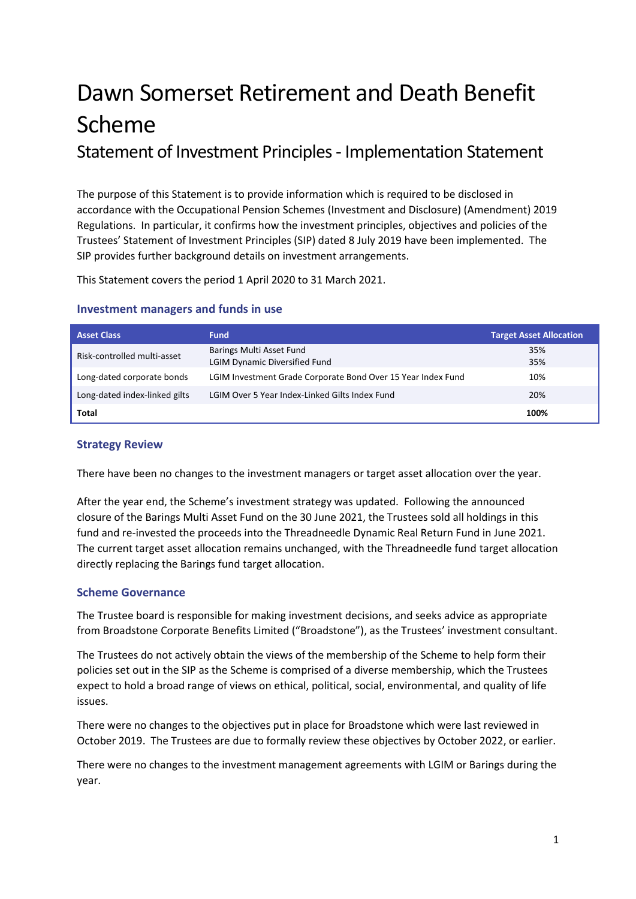# Dawn Somerset Retirement and Death Benefit Scheme Statement of Investment Principles - Implementation Statement

The purpose of this Statement is to provide information which is required to be disclosed in accordance with the Occupational Pension Schemes (Investment and Disclosure) (Amendment) 2019 Regulations. In particular, it confirms how the investment principles, objectives and policies of the Trustees' Statement of Investment Principles (SIP) dated 8 July 2019 have been implemented. The SIP provides further background details on investment arrangements.

This Statement covers the period 1 April 2020 to 31 March 2021.

| <b>Asset Class</b>            | <b>Fund</b>                                                  | <b>Target Asset Allocation</b> |
|-------------------------------|--------------------------------------------------------------|--------------------------------|
| Risk-controlled multi-asset   | Barings Multi Asset Fund<br>LGIM Dynamic Diversified Fund    | 35%<br>35%                     |
| Long-dated corporate bonds    | LGIM Investment Grade Corporate Bond Over 15 Year Index Fund | 10%                            |
| Long-dated index-linked gilts | LGIM Over 5 Year Index-Linked Gilts Index Fund               | 20%                            |
| Total                         |                                                              | 100%                           |

# **Investment managers and funds in use**

# **Strategy Review**

There have been no changes to the investment managers or target asset allocation over the year.

After the year end, the Scheme's investment strategy was updated. Following the announced closure of the Barings Multi Asset Fund on the 30 June 2021, the Trustees sold all holdings in this fund and re-invested the proceeds into the Threadneedle Dynamic Real Return Fund in June 2021. The current target asset allocation remains unchanged, with the Threadneedle fund target allocation directly replacing the Barings fund target allocation.

# **Scheme Governance**

The Trustee board is responsible for making investment decisions, and seeks advice as appropriate from Broadstone Corporate Benefits Limited ("Broadstone"), as the Trustees' investment consultant.

The Trustees do not actively obtain the views of the membership of the Scheme to help form their policies set out in the SIP as the Scheme is comprised of a diverse membership, which the Trustees expect to hold a broad range of views on ethical, political, social, environmental, and quality of life issues.

There were no changes to the objectives put in place for Broadstone which were last reviewed in October 2019. The Trustees are due to formally review these objectives by October 2022, or earlier.

There were no changes to the investment management agreements with LGIM or Barings during the year.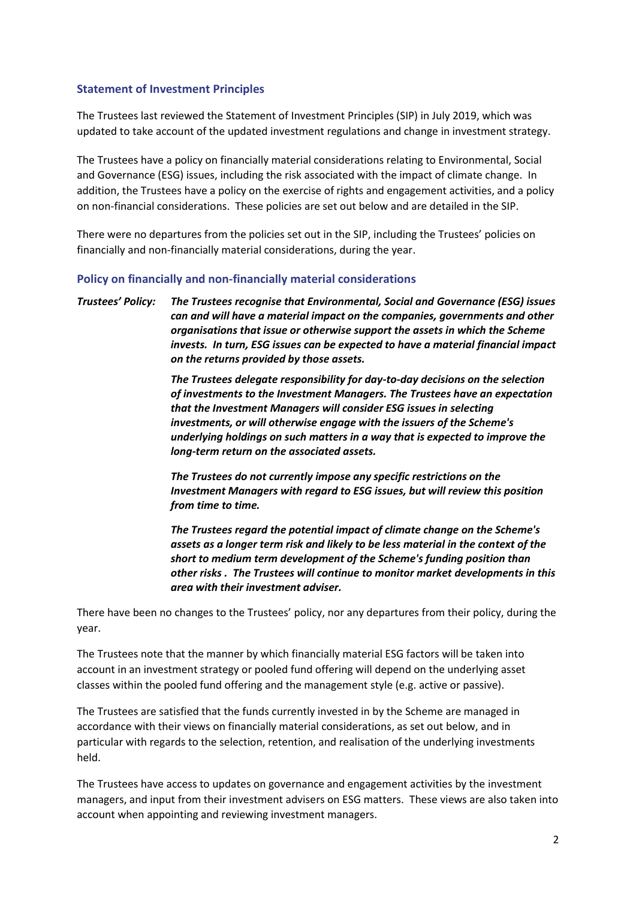### **Statement of Investment Principles**

The Trustees last reviewed the Statement of Investment Principles (SIP) in July 2019, which was updated to take account of the updated investment regulations and change in investment strategy.

The Trustees have a policy on financially material considerations relating to Environmental, Social and Governance (ESG) issues, including the risk associated with the impact of climate change. In addition, the Trustees have a policy on the exercise of rights and engagement activities, and a policy on non-financial considerations. These policies are set out below and are detailed in the SIP.

There were no departures from the policies set out in the SIP, including the Trustees' policies on financially and non-financially material considerations, during the year.

#### **Policy on financially and non-financially material considerations**

*Trustees' Policy: The Trustees recognise that Environmental, Social and Governance (ESG) issues can and will have a material impact on the companies, governments and other organisations that issue or otherwise support the assets in which the Scheme invests. In turn, ESG issues can be expected to have a material financial impact on the returns provided by those assets.*

> *The Trustees delegate responsibility for day-to-day decisions on the selection of investments to the Investment Managers. The Trustees have an expectation that the Investment Managers will consider ESG issues in selecting investments, or will otherwise engage with the issuers of the Scheme's underlying holdings on such matters in a way that is expected to improve the long-term return on the associated assets.*

*The Trustees do not currently impose any specific restrictions on the Investment Managers with regard to ESG issues, but will review this position from time to time.*

*The Trustees regard the potential impact of climate change on the Scheme's assets as a longer term risk and likely to be less material in the context of the short to medium term development of the Scheme's funding position than other risks . The Trustees will continue to monitor market developments in this area with their investment adviser.*

There have been no changes to the Trustees' policy, nor any departures from their policy, during the year.

The Trustees note that the manner by which financially material ESG factors will be taken into account in an investment strategy or pooled fund offering will depend on the underlying asset classes within the pooled fund offering and the management style (e.g. active or passive).

The Trustees are satisfied that the funds currently invested in by the Scheme are managed in accordance with their views on financially material considerations, as set out below, and in particular with regards to the selection, retention, and realisation of the underlying investments held.

The Trustees have access to updates on governance and engagement activities by the investment managers, and input from their investment advisers on ESG matters. These views are also taken into account when appointing and reviewing investment managers.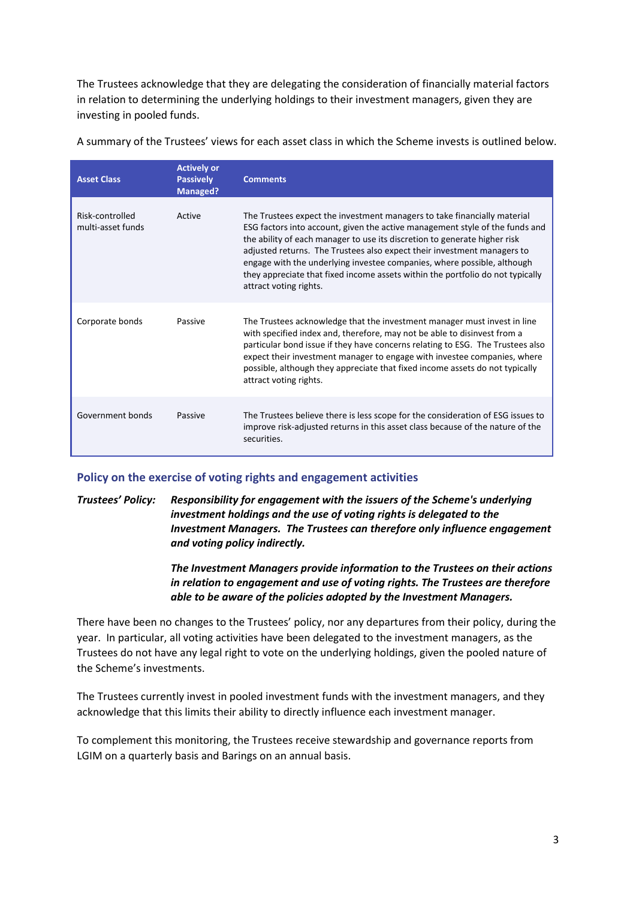The Trustees acknowledge that they are delegating the consideration of financially material factors in relation to determining the underlying holdings to their investment managers, given they are investing in pooled funds.

| <b>Asset Class</b>                   | <b>Actively or</b><br><b>Passively</b><br><b>Managed?</b> | <b>Comments</b>                                                                                                                                                                                                                                                                                                                                                                                                                                                                                         |
|--------------------------------------|-----------------------------------------------------------|---------------------------------------------------------------------------------------------------------------------------------------------------------------------------------------------------------------------------------------------------------------------------------------------------------------------------------------------------------------------------------------------------------------------------------------------------------------------------------------------------------|
| Risk-controlled<br>multi-asset funds | Active                                                    | The Trustees expect the investment managers to take financially material<br>ESG factors into account, given the active management style of the funds and<br>the ability of each manager to use its discretion to generate higher risk<br>adjusted returns. The Trustees also expect their investment managers to<br>engage with the underlying investee companies, where possible, although<br>they appreciate that fixed income assets within the portfolio do not typically<br>attract voting rights. |
| Corporate bonds                      | Passive                                                   | The Trustees acknowledge that the investment manager must invest in line<br>with specified index and, therefore, may not be able to disinvest from a<br>particular bond issue if they have concerns relating to ESG. The Trustees also<br>expect their investment manager to engage with investee companies, where<br>possible, although they appreciate that fixed income assets do not typically<br>attract voting rights.                                                                            |
| Government bonds                     | Passive                                                   | The Trustees believe there is less scope for the consideration of ESG issues to<br>improve risk-adjusted returns in this asset class because of the nature of the<br>securities.                                                                                                                                                                                                                                                                                                                        |

A summary of the Trustees' views for each asset class in which the Scheme invests is outlined below.

# **Policy on the exercise of voting rights and engagement activities**

*Trustees' Policy: Responsibility for engagement with the issuers of the Scheme's underlying investment holdings and the use of voting rights is delegated to the Investment Managers. The Trustees can therefore only influence engagement and voting policy indirectly.*

> *The Investment Managers provide information to the Trustees on their actions in relation to engagement and use of voting rights. The Trustees are therefore able to be aware of the policies adopted by the Investment Managers.*

There have been no changes to the Trustees' policy, nor any departures from their policy, during the year. In particular, all voting activities have been delegated to the investment managers, as the Trustees do not have any legal right to vote on the underlying holdings, given the pooled nature of the Scheme's investments.

The Trustees currently invest in pooled investment funds with the investment managers, and they acknowledge that this limits their ability to directly influence each investment manager.

To complement this monitoring, the Trustees receive stewardship and governance reports from LGIM on a quarterly basis and Barings on an annual basis.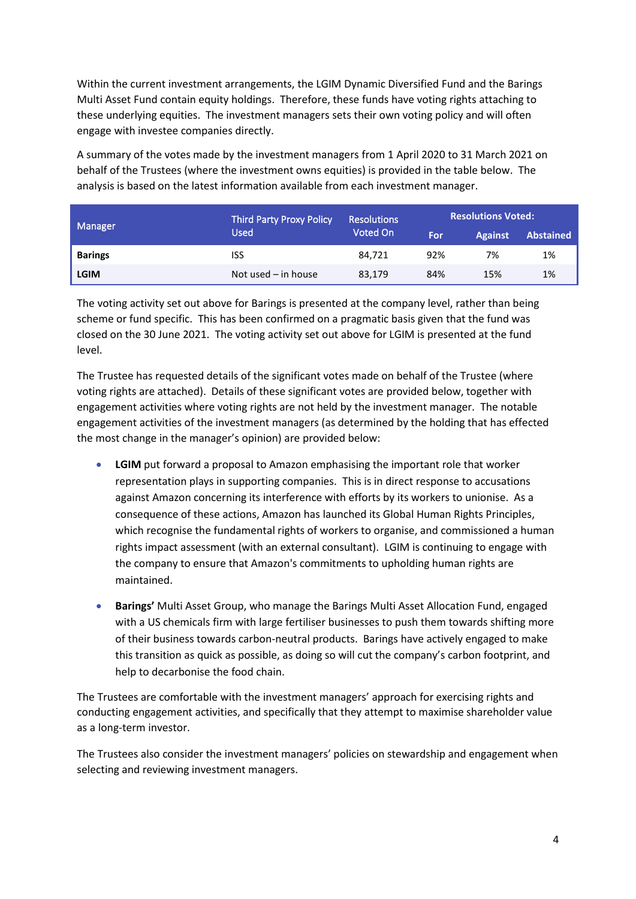Within the current investment arrangements, the LGIM Dynamic Diversified Fund and the Barings Multi Asset Fund contain equity holdings. Therefore, these funds have voting rights attaching to these underlying equities. The investment managers sets their own voting policy and will often engage with investee companies directly.

A summary of the votes made by the investment managers from 1 April 2020 to 31 March 2021 on behalf of the Trustees (where the investment owns equities) is provided in the table below. The analysis is based on the latest information available from each investment manager.

|                | <b>Third Party Proxy Policy</b><br>Used | <b>Resolutions</b><br>Voted On | <b>Resolutions Voted:</b> |                |                  |
|----------------|-----------------------------------------|--------------------------------|---------------------------|----------------|------------------|
| Manager        |                                         |                                | For                       | <b>Against</b> | <b>Abstained</b> |
| <b>Barings</b> | ISS                                     | 84.721                         | 92%                       | 7%             | 1%               |
| <b>LGIM</b>    | Not used $-$ in house                   | 83,179                         | 84%                       | 15%            | 1%               |

The voting activity set out above for Barings is presented at the company level, rather than being scheme or fund specific. This has been confirmed on a pragmatic basis given that the fund was closed on the 30 June 2021. The voting activity set out above for LGIM is presented at the fund level.

The Trustee has requested details of the significant votes made on behalf of the Trustee (where voting rights are attached). Details of these significant votes are provided below, together with engagement activities where voting rights are not held by the investment manager. The notable engagement activities of the investment managers (as determined by the holding that has effected the most change in the manager's opinion) are provided below:

- **LGIM** put forward a proposal to Amazon emphasising the important role that worker representation plays in supporting companies. This is in direct response to accusations against Amazon concerning its interference with efforts by its workers to unionise. As a consequence of these actions, Amazon has launched its Global Human Rights Principles, which recognise the fundamental rights of workers to organise, and commissioned a human rights impact assessment (with an external consultant). LGIM is continuing to engage with the company to ensure that Amazon's commitments to upholding human rights are maintained.
- **Barings'** Multi Asset Group, who manage the Barings Multi Asset Allocation Fund, engaged with a US chemicals firm with large fertiliser businesses to push them towards shifting more of their business towards carbon-neutral products. Barings have actively engaged to make this transition as quick as possible, as doing so will cut the company's carbon footprint, and help to decarbonise the food chain.

The Trustees are comfortable with the investment managers' approach for exercising rights and conducting engagement activities, and specifically that they attempt to maximise shareholder value as a long-term investor.

The Trustees also consider the investment managers' policies on stewardship and engagement when selecting and reviewing investment managers.